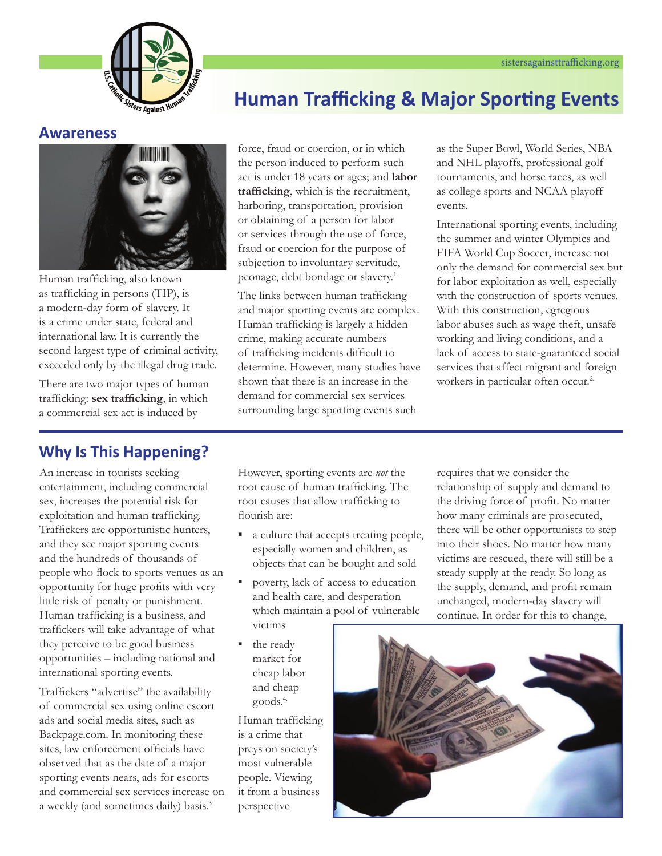

# **Awareness**



Human trafficking, also known as trafficking in persons (TIP), is a modern-day form of slavery. It is a crime under state, federal and international law. It is currently the second largest type of criminal activity, exceeded only by the illegal drug trade.

There are two major types of human trafficking: **sex trafficking**, in which a commercial sex act is induced by

**Human Trafficking & Major Sporting Events** force, fraud or coercion, or in which

as the Super Bowl, World Series, NBA and NHL playoffs, professional golf tournaments, and horse races, as well as college sports and NCAA playoff events.

International sporting events, including the summer and winter Olympics and FIFA World Cup Soccer, increase not only the demand for commercial sex but for labor exploitation as well, especially with the construction of sports venues. With this construction, egregious labor abuses such as wage theft, unsafe working and living conditions, and a lack of access to state-guaranteed social services that affect migrant and foreign workers in particular often occur.<sup>2</sup>

# **Why Is This Happening?**

An increase in tourists seeking entertainment, including commercial sex, increases the potential risk for exploitation and human trafficking. Traffickers are opportunistic hunters, and they see major sporting events and the hundreds of thousands of people who flock to sports venues as an opportunity for huge profits with very little risk of penalty or punishment. Human trafficking is a business, and traffickers will take advantage of what they perceive to be good business opportunities – including national and international sporting events.

Traffickers "advertise" the availability of commercial sex using online escort ads and social media sites, such as Backpage.com. In monitoring these sites, law enforcement officials have observed that as the date of a major sporting events nears, ads for escorts and commercial sex services increase on a weekly (and sometimes daily) basis.<sup>3</sup>

However, sporting events are *not* the root cause of human trafficking. The root causes that allow trafficking to flourish are:

the person induced to perform such act is under 18 years or ages; and **labor trafficking**, which is the recruitment, harboring, transportation, provision or obtaining of a person for labor or services through the use of force, fraud or coercion for the purpose of subjection to involuntary servitude, peonage, debt bondage or slavery.1. The links between human trafficking and major sporting events are complex. Human trafficking is largely a hidden crime, making accurate numbers of trafficking incidents difficult to determine. However, many studies have shown that there is an increase in the demand for commercial sex services surrounding large sporting events such

- a culture that accepts treating people, especially women and children, as objects that can be bought and sold
- poverty, lack of access to education and health care, and desperation which maintain a pool of vulnerable victims
- the ready market for cheap labor and cheap goods.4.

Human trafficking is a crime that preys on society's most vulnerable people. Viewing it from a business perspective

requires that we consider the relationship of supply and demand to the driving force of profit. No matter how many criminals are prosecuted, there will be other opportunists to step into their shoes. No matter how many victims are rescued, there will still be a steady supply at the ready. So long as the supply, demand, and profit remain unchanged, modern-day slavery will continue. In order for this to change,